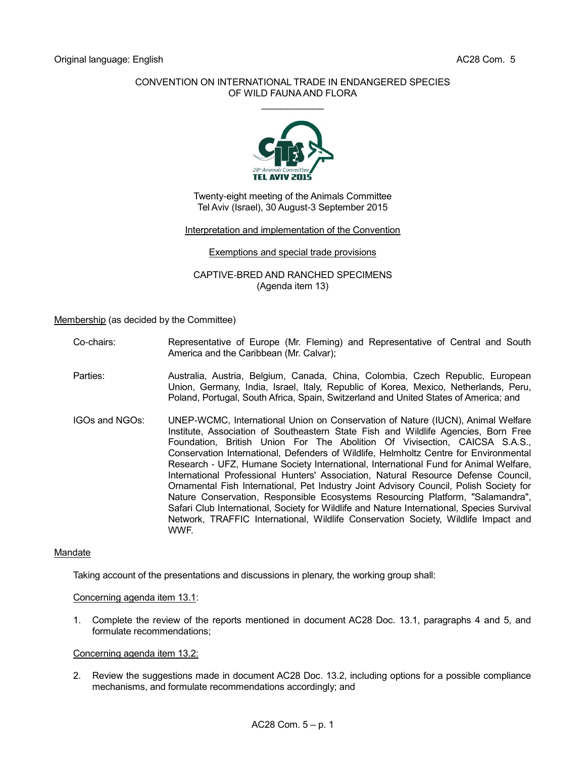# CONVENTION ON INTERNATIONAL TRADE IN ENDANGERED SPECIES OF WILD FAUNA AND FLORA  $\mathcal{L}$  . The set of the set of the set of the set of the set of the set of the set of the set of the set of the set of the set of the set of the set of the set of the set of the set of the set of the set of the set of t



Twenty-eight meeting of the Animals Committee Tel Aviv (Israel), 30 August-3 September 2015

### Interpretation and implementation of the Convention

### Exemptions and special trade provisions

CAPTIVE-BRED AND RANCHED SPECIMENS (Agenda item 13)

Membership (as decided by the Committee)

- Co-chairs: Representative of Europe (Mr. Fleming) and Representative of Central and South America and the Caribbean (Mr. Calvar);
- Parties: Australia, Austria, Belgium, Canada, China, Colombia, Czech Republic, European Union, Germany, India, Israel, Italy, Republic of Korea, Mexico, Netherlands, Peru, Poland, Portugal, South Africa, Spain, Switzerland and United States of America; and
- IGOs and NGOs: UNEP-WCMC, International Union on Conservation of Nature (IUCN), Animal Welfare Institute, Association of Southeastern State Fish and Wildlife Agencies, Born Free Foundation, British Union For The Abolition Of Vivisection, CAICSA S.A.S., Conservation International, Defenders of Wildlife, Helmholtz Centre for Environmental Research - UFZ, Humane Society International, International Fund for Animal Welfare, International Professional Hunters' Association, Natural Resource Defense Council, Ornamental Fish International, Pet Industry Joint Advisory Council, Polish Society for Nature Conservation, Responsible Ecosystems Resourcing Platform, "Salamandra", Safari Club International, Society for Wildlife and Nature International, Species Survival Network, TRAFFIC International, Wildlife Conservation Society, Wildlife Impact and WWF.

# **Mandate**

Taking account of the presentations and discussions in plenary, the working group shall:

Concerning agenda item 13.1:

1. Complete the review of the reports mentioned in document AC28 Doc. 13.1, paragraphs 4 and 5, and formulate recommendations;

# Concerning agenda item 13.2:

2. Review the suggestions made in document AC28 Doc. 13.2, including options for a possible compliance mechanisms, and formulate recommendations accordingly; and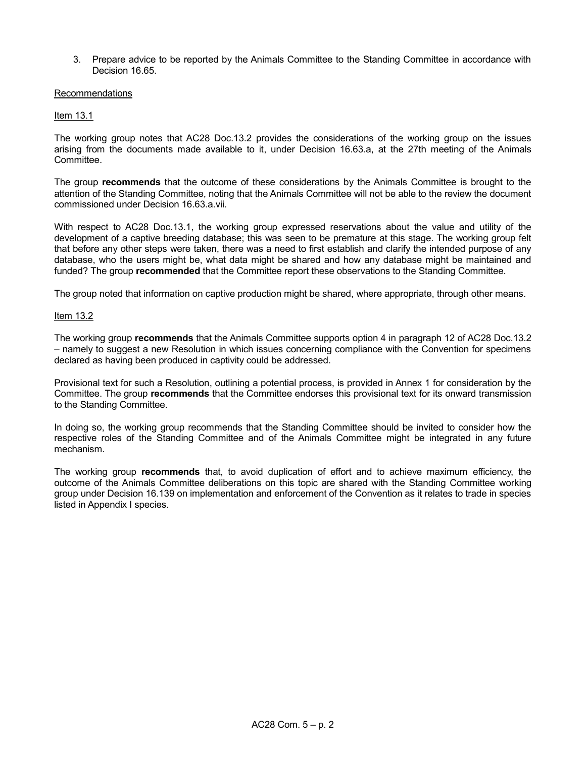3. Prepare advice to be reported by the Animals Committee to the Standing Committee in accordance with Decision 16.65.

### Recommendations

# Item 13.1

The working group notes that AC28 Doc.13.2 provides the considerations of the working group on the issues arising from the documents made available to it, under Decision 16.63.a, at the 27th meeting of the Animals Committee.

The group **recommends** that the outcome of these considerations by the Animals Committee is brought to the attention of the Standing Committee, noting that the Animals Committee will not be able to the review the document commissioned under Decision 16.63.a.vii.

With respect to AC28 Doc.13.1, the working group expressed reservations about the value and utility of the development of a captive breeding database; this was seen to be premature at this stage. The working group felt that before any other steps were taken, there was a need to first establish and clarify the intended purpose of any database, who the users might be, what data might be shared and how any database might be maintained and funded? The group **recommended** that the Committee report these observations to the Standing Committee.

The group noted that information on captive production might be shared, where appropriate, through other means.

# Item 13.2

The working group **recommends** that the Animals Committee supports option 4 in paragraph 12 of AC28 Doc.13.2 – namely to suggest a new Resolution in which issues concerning compliance with the Convention for specimens declared as having been produced in captivity could be addressed.

Provisional text for such a Resolution, outlining a potential process, is provided in Annex 1 for consideration by the Committee. The group **recommends** that the Committee endorses this provisional text for its onward transmission to the Standing Committee.

In doing so, the working group recommends that the Standing Committee should be invited to consider how the respective roles of the Standing Committee and of the Animals Committee might be integrated in any future mechanism.

The working group **recommends** that, to avoid duplication of effort and to achieve maximum efficiency, the outcome of the Animals Committee deliberations on this topic are shared with the Standing Committee working group under Decision 16.139 on implementation and enforcement of the Convention as it relates to trade in species listed in Appendix I species.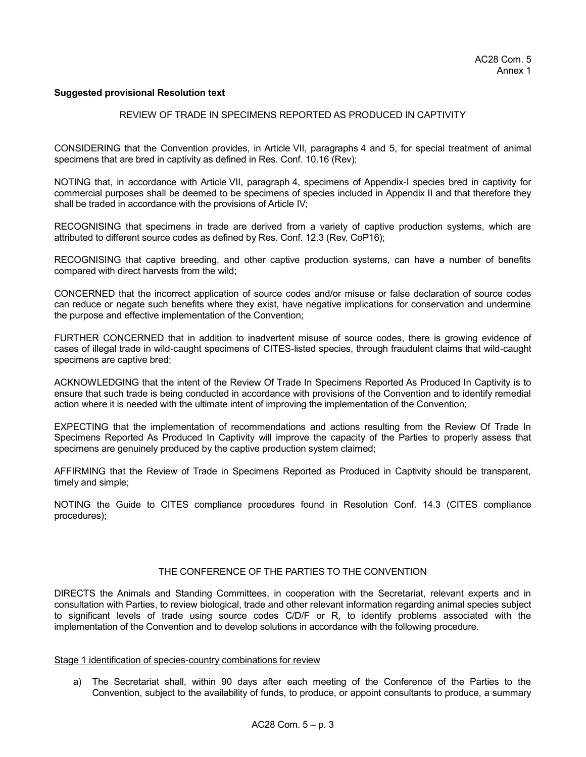### **Suggested provisional Resolution text**

#### REVIEW OF TRADE IN SPECIMENS REPORTED AS PRODUCED IN CAPTIVITY

CONSIDERING that the Convention provides, in Article VII, paragraphs 4 and 5, for special treatment of animal specimens that are bred in captivity as defined in Res. Conf. 10.16 (Rev);

NOTING that, in accordance with Article VII, paragraph 4, specimens of Appendix-I species bred in captivity for commercial purposes shall be deemed to be specimens of species included in Appendix II and that therefore they shall be traded in accordance with the provisions of Article IV;

RECOGNISING that specimens in trade are derived from a variety of captive production systems, which are attributed to different source codes as defined by Res. Conf. 12.3 (Rev. CoP16);

RECOGNISING that captive breeding, and other captive production systems, can have a number of benefits compared with direct harvests from the wild;

CONCERNED that the incorrect application of source codes and/or misuse or false declaration of source codes can reduce or negate such benefits where they exist, have negative implications for conservation and undermine the purpose and effective implementation of the Convention;

FURTHER CONCERNED that in addition to inadvertent misuse of source codes, there is growing evidence of cases of illegal trade in wild-caught specimens of CITES-listed species, through fraudulent claims that wild-caught specimens are captive bred;

ACKNOWLEDGING that the intent of the Review Of Trade In Specimens Reported As Produced In Captivity is to ensure that such trade is being conducted in accordance with provisions of the Convention and to identify remedial action where it is needed with the ultimate intent of improving the implementation of the Convention;

EXPECTING that the implementation of recommendations and actions resulting from the Review Of Trade In Specimens Reported As Produced In Captivity will improve the capacity of the Parties to properly assess that specimens are genuinely produced by the captive production system claimed;

AFFIRMING that the Review of Trade in Specimens Reported as Produced in Captivity should be transparent, timely and simple;

NOTING the Guide to CITES compliance procedures found in Resolution Conf. 14.3 (CITES compliance procedures);

# THE CONFERENCE OF THE PARTIES TO THE CONVENTION

DIRECTS the Animals and Standing Committees, in cooperation with the Secretariat, relevant experts and in consultation with Parties, to review biological, trade and other relevant information regarding animal species subject to significant levels of trade using source codes C/D/F or R, to identify problems associated with the implementation of the Convention and to develop solutions in accordance with the following procedure.

#### Stage 1 identification of species-country combinations for review

a) The Secretariat shall, within 90 days after each meeting of the Conference of the Parties to the Convention, subject to the availability of funds, to produce, or appoint consultants to produce, a summary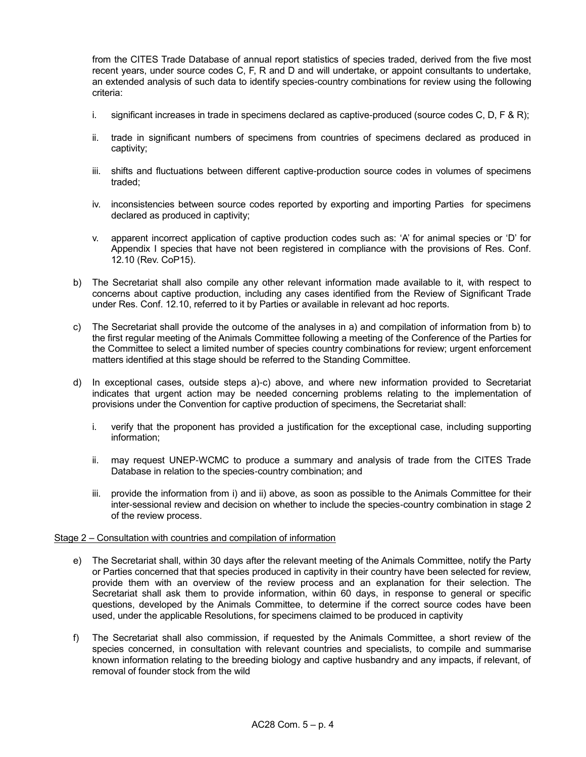from the CITES Trade Database of annual report statistics of species traded, derived from the five most recent years, under source codes C, F, R and D and will undertake, or appoint consultants to undertake, an extended analysis of such data to identify species-country combinations for review using the following criteria:

- i. significant increases in trade in specimens declared as captive-produced (source codes C, D, F & R);
- ii. trade in significant numbers of specimens from countries of specimens declared as produced in captivity;
- iii. shifts and fluctuations between different captive-production source codes in volumes of specimens traded;
- iv. inconsistencies between source codes reported by exporting and importing Parties for specimens declared as produced in captivity;
- v. apparent incorrect application of captive production codes such as: 'A' for animal species or 'D' for Appendix I species that have not been registered in compliance with the provisions of Res. Conf. 12.10 (Rev. CoP15).
- b) The Secretariat shall also compile any other relevant information made available to it, with respect to concerns about captive production, including any cases identified from the Review of Significant Trade under Res. Conf. 12.10, referred to it by Parties or available in relevant ad hoc reports.
- c) The Secretariat shall provide the outcome of the analyses in a) and compilation of information from b) to the first regular meeting of the Animals Committee following a meeting of the Conference of the Parties for the Committee to select a limited number of species country combinations for review; urgent enforcement matters identified at this stage should be referred to the Standing Committee.
- d) In exceptional cases, outside steps a)-c) above, and where new information provided to Secretariat indicates that urgent action may be needed concerning problems relating to the implementation of provisions under the Convention for captive production of specimens, the Secretariat shall:
	- i. verify that the proponent has provided a justification for the exceptional case, including supporting information;
	- ii. may request UNEP-WCMC to produce a summary and analysis of trade from the CITES Trade Database in relation to the species-country combination; and
	- iii. provide the information from i) and ii) above, as soon as possible to the Animals Committee for their inter-sessional review and decision on whether to include the species-country combination in stage 2 of the review process.

# Stage 2 – Consultation with countries and compilation of information

- e) The Secretariat shall, within 30 days after the relevant meeting of the Animals Committee, notify the Party or Parties concerned that that species produced in captivity in their country have been selected for review, provide them with an overview of the review process and an explanation for their selection. The Secretariat shall ask them to provide information, within 60 days, in response to general or specific questions, developed by the Animals Committee, to determine if the correct source codes have been used, under the applicable Resolutions, for specimens claimed to be produced in captivity
- f) The Secretariat shall also commission, if requested by the Animals Committee, a short review of the species concerned, in consultation with relevant countries and specialists, to compile and summarise known information relating to the breeding biology and captive husbandry and any impacts, if relevant, of removal of founder stock from the wild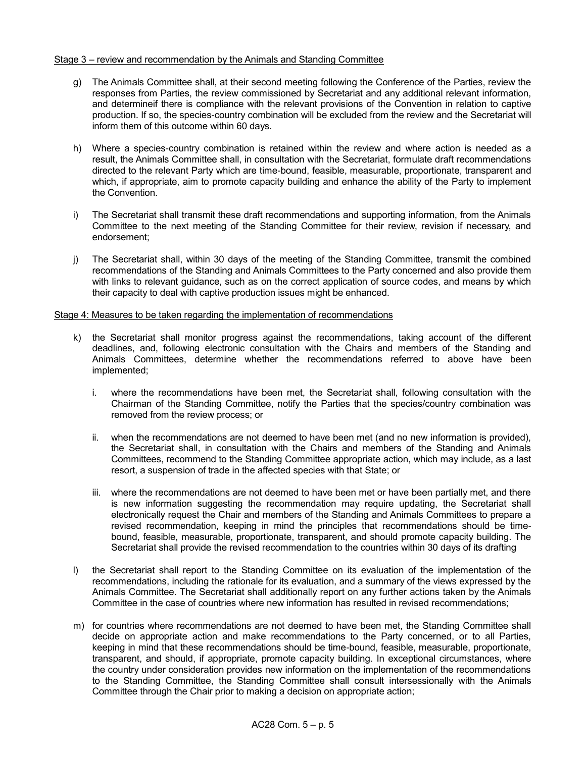# Stage 3 – review and recommendation by the Animals and Standing Committee

- g) The Animals Committee shall, at their second meeting following the Conference of the Parties, review the responses from Parties, the review commissioned by Secretariat and any additional relevant information, and determineif there is compliance with the relevant provisions of the Convention in relation to captive production. If so, the species-country combination will be excluded from the review and the Secretariat will inform them of this outcome within 60 days.
- h) Where a species-country combination is retained within the review and where action is needed as a result, the Animals Committee shall, in consultation with the Secretariat, formulate draft recommendations directed to the relevant Party which are time-bound, feasible, measurable, proportionate, transparent and which, if appropriate, aim to promote capacity building and enhance the ability of the Party to implement the Convention.
- i) The Secretariat shall transmit these draft recommendations and supporting information, from the Animals Committee to the next meeting of the Standing Committee for their review, revision if necessary, and endorsement;
- j) The Secretariat shall, within 30 days of the meeting of the Standing Committee, transmit the combined recommendations of the Standing and Animals Committees to the Party concerned and also provide them with links to relevant guidance, such as on the correct application of source codes, and means by which their capacity to deal with captive production issues might be enhanced.

# Stage 4: Measures to be taken regarding the implementation of recommendations

- k) the Secretariat shall monitor progress against the recommendations, taking account of the different deadlines, and, following electronic consultation with the Chairs and members of the Standing and Animals Committees, determine whether the recommendations referred to above have been implemented;
	- i. where the recommendations have been met, the Secretariat shall, following consultation with the Chairman of the Standing Committee, notify the Parties that the species/country combination was removed from the review process; or
	- ii. when the recommendations are not deemed to have been met (and no new information is provided), the Secretariat shall, in consultation with the Chairs and members of the Standing and Animals Committees, recommend to the Standing Committee appropriate action, which may include, as a last resort, a suspension of trade in the affected species with that State; or
	- iii. where the recommendations are not deemed to have been met or have been partially met, and there is new information suggesting the recommendation may require updating, the Secretariat shall electronically request the Chair and members of the Standing and Animals Committees to prepare a revised recommendation, keeping in mind the principles that recommendations should be timebound, feasible, measurable, proportionate, transparent, and should promote capacity building. The Secretariat shall provide the revised recommendation to the countries within 30 days of its drafting
- l) the Secretariat shall report to the Standing Committee on its evaluation of the implementation of the recommendations, including the rationale for its evaluation, and a summary of the views expressed by the Animals Committee. The Secretariat shall additionally report on any further actions taken by the Animals Committee in the case of countries where new information has resulted in revised recommendations;
- m) for countries where recommendations are not deemed to have been met, the Standing Committee shall decide on appropriate action and make recommendations to the Party concerned, or to all Parties, keeping in mind that these recommendations should be time-bound, feasible, measurable, proportionate, transparent, and should, if appropriate, promote capacity building. In exceptional circumstances, where the country under consideration provides new information on the implementation of the recommendations to the Standing Committee, the Standing Committee shall consult intersessionally with the Animals Committee through the Chair prior to making a decision on appropriate action;